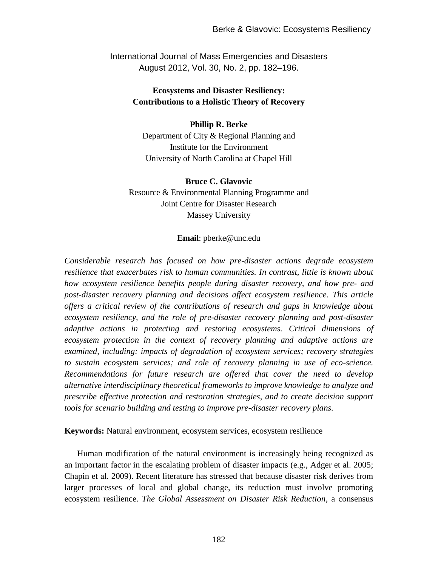International Journal of Mass Emergencies and Disasters August 2012, Vol. 30, No. 2, pp. 182–196.

# **Ecosystems and Disaster Resiliency: Contributions to a Holistic Theory of Recovery**

#### **Phillip R. Berke**

Department of City & Regional Planning and Institute for the Environment University of North Carolina at Chapel Hill

#### **Bruce C. Glavovic**

Resource & Environmental Planning Programme and Joint Centre for Disaster Research Massey University

#### **Email**: [pberke@unc.edu](mailto:pberke@unc.edu)

*Considerable research has focused on how pre-disaster actions degrade ecosystem resilience that exacerbates risk to human communities. In contrast, little is known about how ecosystem resilience benefits people during disaster recovery, and how pre- and post-disaster recovery planning and decisions affect ecosystem resilience. This article offers a critical review of the contributions of research and gaps in knowledge about ecosystem resiliency, and the role of pre-disaster recovery planning and post-disaster adaptive actions in protecting and restoring ecosystems. Critical dimensions of ecosystem protection in the context of recovery planning and adaptive actions are examined, including: impacts of degradation of ecosystem services; recovery strategies to sustain ecosystem services; and role of recovery planning in use of eco-science. Recommendations for future research are offered that cover the need to develop alternative interdisciplinary theoretical frameworks to improve knowledge to analyze and prescribe effective protection and restoration strategies, and to create decision support tools for scenario building and testing to improve pre-disaster recovery plans.*

**Keywords:** Natural environment, ecosystem services, ecosystem resilience

Human modification of the natural environment is increasingly being recognized as an important factor in the escalating problem of disaster impacts (e.g., Adger et al. 2005; Chapin et al. 2009). Recent literature has stressed that because disaster risk derives from larger processes of local and global change, its reduction must involve promoting ecosystem resilience. *The Global Assessment on Disaster Risk Reduction*, a consensus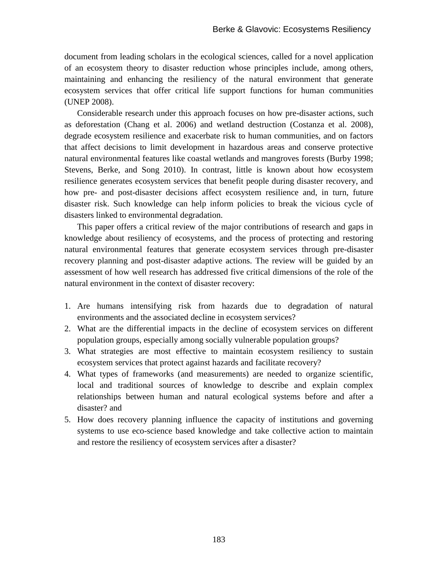document from leading scholars in the ecological sciences, called for a novel application of an ecosystem theory to disaster reduction whose principles include, among others, maintaining and enhancing the resiliency of the natural environment that generate ecosystem services that offer critical life support functions for human communities (UNEP 2008).

Considerable research under this approach focuses on how pre-disaster actions, such as deforestation (Chang et al. 2006) and wetland destruction (Costanza et al. 2008), degrade ecosystem resilience and exacerbate risk to human communities, and on factors that affect decisions to limit development in hazardous areas and conserve protective natural environmental features like coastal wetlands and mangroves forests (Burby 1998; Stevens, Berke, and Song 2010). In contrast, little is known about how ecosystem resilience generates ecosystem services that benefit people during disaster recovery, and how pre- and post-disaster decisions affect ecosystem resilience and, in turn, future disaster risk. Such knowledge can help inform policies to break the vicious cycle of disasters linked to environmental degradation.

This paper offers a critical review of the major contributions of research and gaps in knowledge about resiliency of ecosystems, and the process of protecting and restoring natural environmental features that generate ecosystem services through pre-disaster recovery planning and post-disaster adaptive actions. The review will be guided by an assessment of how well research has addressed five critical dimensions of the role of the natural environment in the context of disaster recovery:

- 1. Are humans intensifying risk from hazards due to degradation of natural environments and the associated decline in ecosystem services?
- 2. What are the differential impacts in the decline of ecosystem services on different population groups, especially among socially vulnerable population groups?
- 3. What strategies are most effective to maintain ecosystem resiliency to sustain ecosystem services that protect against hazards and facilitate recovery?
- 4. What types of frameworks (and measurements) are needed to organize scientific, local and traditional sources of knowledge to describe and explain complex relationships between human and natural ecological systems before and after a disaster? and
- 5. How does recovery planning influence the capacity of institutions and governing systems to use eco-science based knowledge and take collective action to maintain and restore the resiliency of ecosystem services after a disaster?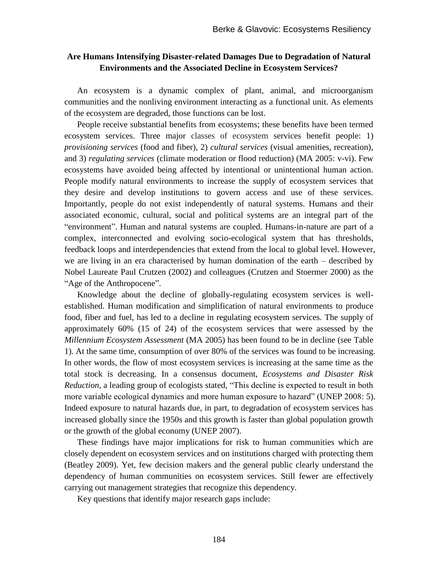### **Are Humans Intensifying Disaster-related Damages Due to Degradation of Natural Environments and the Associated Decline in Ecosystem Services?**

An ecosystem is a dynamic complex of plant, animal, and microorganism communities and the nonliving environment interacting as a functional unit. As elements of the ecosystem are degraded, those functions can be lost.

People receive substantial benefits from ecosystems; these benefits have been termed ecosystem services. Three major classes of ecosystem services benefit people: 1) *provisioning services* (food and fiber), 2) *cultural services* (visual amenities, recreation), and 3) *regulating services* (climate moderation or flood reduction) (MA 2005: v-vi). Few ecosystems have avoided being affected by intentional or unintentional human action. People modify natural environments to increase the supply of ecosystem services that they desire and develop institutions to govern access and use of these services. Importantly, people do not exist independently of natural systems. Humans and their associated economic, cultural, social and political systems are an integral part of the "environment". Human and natural systems are coupled. Humans-in-nature are part of a complex, interconnected and evolving socio-ecological system that has thresholds, feedback loops and interdependencies that extend from the local to global level. However, we are living in an era characterised by human domination of the earth – described by Nobel Laureate Paul Crutzen (2002) and colleagues (Crutzen and Stoermer 2000) as the "Age of the Anthropocene".

Knowledge about the decline of globally-regulating ecosystem services is wellestablished. Human modification and simplification of natural environments to produce food, fiber and fuel, has led to a decline in regulating ecosystem services. The supply of approximately 60% (15 of 24) of the ecosystem services that were assessed by the *Millennium Ecosystem Assessment* (MA 2005) has been found to be in decline (see Table 1). At the same time, consumption of over 80% of the services was found to be increasing. In other words, the flow of most ecosystem services is increasing at the same time as the total stock is decreasing. In a consensus document, *Ecosystems and Disaster Risk Reduction*, a leading group of ecologists stated, "This decline is expected to result in both more variable ecological dynamics and more human exposure to hazard" (UNEP 2008: 5). Indeed exposure to natural hazards due, in part, to degradation of ecosystem services has increased globally since the 1950s and this growth is faster than global population growth or the growth of the global economy (UNEP 2007).

These findings have major implications for risk to human communities which are closely dependent on ecosystem services and on institutions charged with protecting them (Beatley 2009). Yet, few decision makers and the general public clearly understand the dependency of human communities on ecosystem services. Still fewer are effectively carrying out management strategies that recognize this dependency.

Key questions that identify major research gaps include: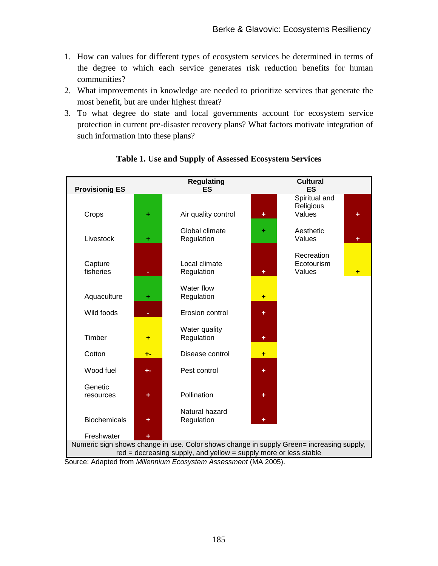- 1. How can values for different types of ecosystem services be determined in terms of the degree to which each service generates risk reduction benefits for human communities?
- 2. What improvements in knowledge are needed to prioritize services that generate the most benefit, but are under highest threat?
- 3. To what degree do state and local governments account for ecosystem service protection in current pre-disaster recovery plans? What factors motivate integration of such information into these plans?



# **Table 1. Use and Supply of Assessed Ecosystem Services**

Source: Adapted from *Millennium Ecosystem Assessment* (MA 2005).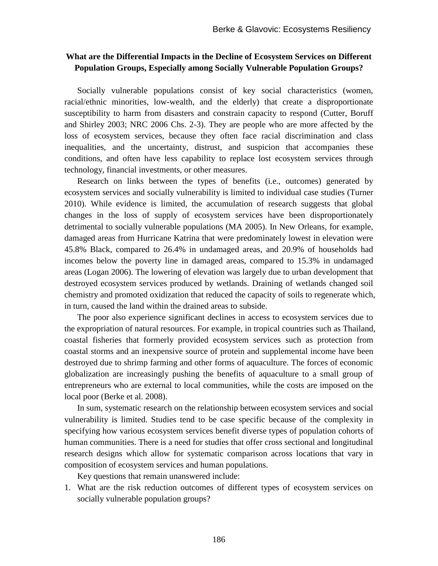### **What are the Differential Impacts in the Decline of Ecosystem Services on Different Population Groups, Especially among Socially Vulnerable Population Groups?**

Socially vulnerable populations consist of key social characteristics (women, racial/ethnic minorities, low-wealth, and the elderly) that create a disproportionate susceptibility to harm from disasters and constrain capacity to respond (Cutter, Boruff and Shirley 2003; NRC 2006 Chs. 2-3). They are people who are more affected by the loss of ecosystem services, because they often face racial discrimination and class inequalities, and the uncertainty, distrust, and suspicion that accompanies these conditions, and often have less capability to replace lost ecosystem services through technology, financial investments, or other measures.

Research on links between the types of benefits (i.e., outcomes) generated by ecosystem services and socially vulnerability is limited to individual case studies (Turner 2010). While evidence is limited, the accumulation of research suggests that global changes in the loss of supply of ecosystem services have been disproportionately detrimental to socially vulnerable populations (MA 2005). In New Orleans, for example, damaged areas from Hurricane Katrina that were predominately lowest in elevation were 45.8% Black, compared to 26.4% in undamaged areas, and 20.9% of households had incomes below the poverty line in damaged areas, compared to 15.3% in undamaged areas (Logan 2006). The lowering of elevation was largely due to urban development that destroyed ecosystem services produced by wetlands. Draining of wetlands changed soil chemistry and promoted oxidization that reduced the capacity of soils to regenerate which, in turn, caused the land within the drained areas to subside.

The poor also experience significant declines in access to ecosystem services due to the expropriation of natural resources. For example, in tropical countries such as Thailand, coastal fisheries that formerly provided ecosystem services such as protection from coastal storms and an inexpensive source of protein and supplemental income have been destroyed due to shrimp farming and other forms of aquaculture. The forces of economic globalization are increasingly pushing the benefits of aquaculture to a small group of entrepreneurs who are external to local communities, while the costs are imposed on the local poor (Berke et al. 2008).

In sum, systematic research on the relationship between ecosystem services and social vulnerability is limited. Studies tend to be case specific because of the complexity in specifying how various ecosystem services benefit diverse types of population cohorts of human communities. There is a need for studies that offer cross sectional and longitudinal research designs which allow for systematic comparison across locations that vary in composition of ecosystem services and human populations.

Key questions that remain unanswered include:

1. What are the risk reduction outcomes of different types of ecosystem services on socially vulnerable population groups?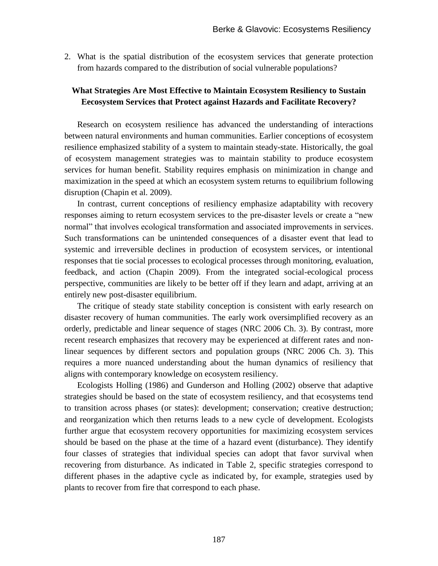2. What is the spatial distribution of the ecosystem services that generate protection from hazards compared to the distribution of social vulnerable populations?

## **What Strategies Are Most Effective to Maintain Ecosystem Resiliency to Sustain Eecosystem Services that Protect against Hazards and Facilitate Recovery?**

Research on ecosystem resilience has advanced the understanding of interactions between natural environments and human communities. Earlier conceptions of ecosystem resilience emphasized stability of a system to maintain steady-state. Historically, the goal of ecosystem management strategies was to maintain stability to produce ecosystem services for human benefit. Stability requires emphasis on minimization in change and maximization in the speed at which an ecosystem system returns to equilibrium following disruption (Chapin et al. 2009).

In contrast, current conceptions of resiliency emphasize adaptability with recovery responses aiming to return ecosystem services to the pre-disaster levels or create a "new normal" that involves ecological transformation and associated improvements in services. Such transformations can be unintended consequences of a disaster event that lead to systemic and irreversible declines in production of ecosystem services, or intentional responses that tie social processes to ecological processes through monitoring, evaluation, feedback, and action (Chapin 2009). From the integrated social-ecological process perspective, communities are likely to be better off if they learn and adapt, arriving at an entirely new post-disaster equilibrium.

The critique of steady state stability conception is consistent with early research on disaster recovery of human communities. The early work oversimplified recovery as an orderly, predictable and linear sequence of stages (NRC 2006 Ch. 3). By contrast, more recent research emphasizes that recovery may be experienced at different rates and nonlinear sequences by different sectors and population groups (NRC 2006 Ch. 3). This requires a more nuanced understanding about the human dynamics of resiliency that aligns with contemporary knowledge on ecosystem resiliency.

Ecologists Holling (1986) and Gunderson and Holling (2002) observe that adaptive strategies should be based on the state of ecosystem resiliency, and that ecosystems tend to transition across phases (or states): development; conservation; creative destruction; and reorganization which then returns leads to a new cycle of development. Ecologists further argue that ecosystem recovery opportunities for maximizing ecosystem services should be based on the phase at the time of a hazard event (disturbance). They identify four classes of strategies that individual species can adopt that favor survival when recovering from disturbance. As indicated in Table 2, specific strategies correspond to different phases in the adaptive cycle as indicated by, for example, strategies used by plants to recover from fire that correspond to each phase.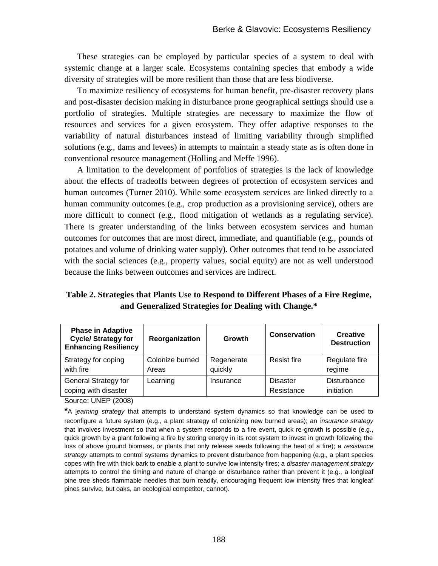These strategies can be employed by particular species of a system to deal with systemic change at a larger scale. Ecosystems containing species that embody a wide diversity of strategies will be more resilient than those that are less biodiverse.

To maximize resiliency of ecosystems for human benefit, pre-disaster recovery plans and post-disaster decision making in disturbance prone geographical settings should use a portfolio of strategies. Multiple strategies are necessary to maximize the flow of resources and services for a given ecosystem. They offer adaptive responses to the variability of natural disturbances instead of limiting variability through simplified solutions (e.g., dams and levees) in attempts to maintain a steady state as is often done in conventional resource management (Holling and Meffe 1996).

A limitation to the development of portfolios of strategies is the lack of knowledge about the effects of tradeoffs between degrees of protection of ecosystem services and human outcomes (Turner 2010). While some ecosystem services are linked directly to a human community outcomes (e.g., crop production as a provisioning service), others are more difficult to connect (e.g., flood mitigation of wetlands as a regulating service). There is greater understanding of the links between ecosystem services and human outcomes for outcomes that are most direct, immediate, and quantifiable (e.g., pounds of potatoes and volume of drinking water supply). Other outcomes that tend to be associated with the social sciences (e.g., property values, social equity) are not as well understood because the links between outcomes and services are indirect.

**Table 2. Strategies that Plants Use to Respond to Different Phases of a Fire Regime, and Generalized Strategies for Dealing with Change.\***

| <b>Phase in Adaptive</b><br><b>Cycle/ Strategy for</b><br><b>Enhancing Resiliency</b> | Reorganization           | Growth                | Conservation                  | <b>Creative</b><br><b>Destruction</b> |
|---------------------------------------------------------------------------------------|--------------------------|-----------------------|-------------------------------|---------------------------------------|
| Strategy for coping<br>with fire                                                      | Colonize burned<br>Areas | Regenerate<br>quickly | <b>Resist fire</b>            | Regulate fire<br>regime               |
| General Strategy for<br>coping with disaster                                          | Learning                 | Insurance             | <b>Disaster</b><br>Resistance | Disturbance<br>initiation             |
|                                                                                       |                          |                       |                               |                                       |

Source: UNEP (2008)

**\***A l*earning strategy* that attempts to understand system dynamics so that knowledge can be used to reconfigure a future system (e.g., a plant strategy of colonizing new burned areas); an i*nsurance strategy* that involves investment so that when a system responds to a fire event, quick re-growth is possible (e.g., quick growth by a plant following a fire by storing energy in its root system to invest in growth following the loss of above ground biomass, or plants that only release seeds following the heat of a fire); a *resistance strategy* attempts to control systems dynamics to prevent disturbance from happening (e.g., a plant species copes with fire with thick bark to enable a plant to survive low intensity fires; a *disaster management strategy* attempts to control the timing and nature of change or disturbance rather than prevent it (e.g., a longleaf pine tree sheds flammable needles that burn readily, encouraging frequent low intensity fires that longleaf pines survive, but oaks, an ecological competitor, cannot).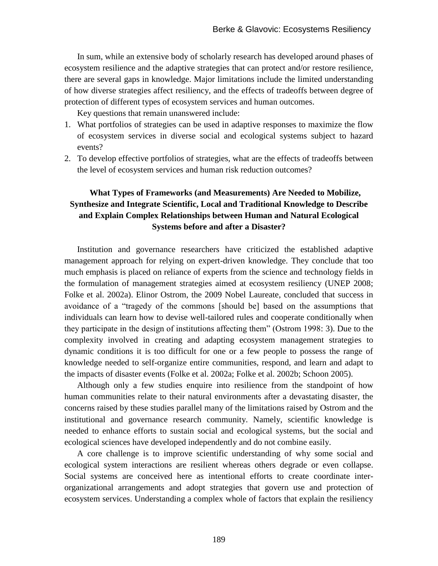In sum, while an extensive body of scholarly research has developed around phases of ecosystem resilience and the adaptive strategies that can protect and/or restore resilience, there are several gaps in knowledge. Major limitations include the limited understanding of how diverse strategies affect resiliency, and the effects of tradeoffs between degree of protection of different types of ecosystem services and human outcomes.

Key questions that remain unanswered include:

- 1. What portfolios of strategies can be used in adaptive responses to maximize the flow of ecosystem services in diverse social and ecological systems subject to hazard events?
- 2. To develop effective portfolios of strategies, what are the effects of tradeoffs between the level of ecosystem services and human risk reduction outcomes?

# **What Types of Frameworks (and Measurements) Are Needed to Mobilize, Synthesize and Integrate Scientific, Local and Traditional Knowledge to Describe and Explain Complex Relationships between Human and Natural Ecological Systems before and after a Disaster?**

Institution and governance researchers have criticized the established adaptive management approach for relying on expert-driven knowledge. They conclude that too much emphasis is placed on reliance of experts from the science and technology fields in the formulation of management strategies aimed at ecosystem resiliency (UNEP 2008; Folke et al. 2002a). Elinor Ostrom, the 2009 Nobel Laureate, concluded that success in avoidance of a "tragedy of the commons [should be] based on the assumptions that individuals can learn how to devise well-tailored rules and cooperate conditionally when they participate in the design of institutions affecting them" (Ostrom 1998: 3). Due to the complexity involved in creating and adapting ecosystem management strategies to dynamic conditions it is too difficult for one or a few people to possess the range of knowledge needed to self-organize entire communities, respond, and learn and adapt to the impacts of disaster events (Folke et al. 2002a; Folke et al. 2002b; Schoon 2005).

Although only a few studies enquire into resilience from the standpoint of how human communities relate to their natural environments after a devastating disaster, the concerns raised by these studies parallel many of the limitations raised by Ostrom and the institutional and governance research community. Namely, scientific knowledge is needed to enhance efforts to sustain social and ecological systems, but the social and ecological sciences have developed independently and do not combine easily.

A core challenge is to improve scientific understanding of why some social and ecological system interactions are resilient whereas others degrade or even collapse. Social systems are conceived here as intentional efforts to create coordinate interorganizational arrangements and adopt strategies that govern use and protection of ecosystem services. Understanding a complex whole of factors that explain the resiliency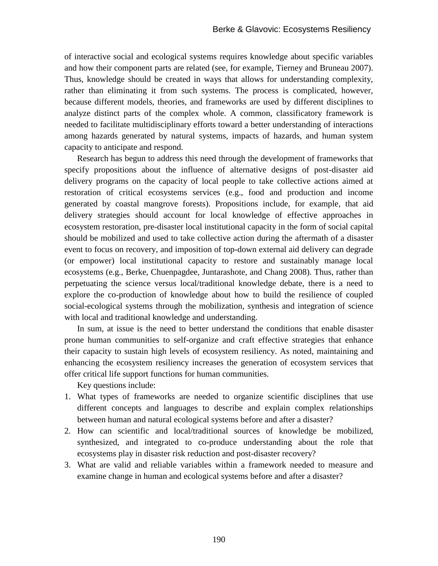of interactive social and ecological systems requires knowledge about specific variables and how their component parts are related (see, for example, Tierney and Bruneau 2007). Thus, knowledge should be created in ways that allows for understanding complexity, rather than eliminating it from such systems. The process is complicated, however, because different models, theories, and frameworks are used by different disciplines to analyze distinct parts of the complex whole. A common, classificatory framework is needed to facilitate multidisciplinary efforts toward a better understanding of interactions among hazards generated by natural systems, impacts of hazards, and human system capacity to anticipate and respond.

Research has begun to address this need through the development of frameworks that specify propositions about the influence of alternative designs of post-disaster aid delivery programs on the capacity of local people to take collective actions aimed at restoration of critical ecosystems services (e.g., food and production and income generated by coastal mangrove forests). Propositions include, for example, that aid delivery strategies should account for local knowledge of effective approaches in ecosystem restoration, pre-disaster local institutional capacity in the form of social capital should be mobilized and used to take collective action during the aftermath of a disaster event to focus on recovery, and imposition of top-down external aid delivery can degrade (or empower) local institutional capacity to restore and sustainably manage local ecosystems (e.g., Berke, Chuenpagdee, Juntarashote, and Chang 2008). Thus, rather than perpetuating the science versus local/traditional knowledge debate, there is a need to explore the co-production of knowledge about how to build the resilience of coupled social-ecological systems through the mobilization, synthesis and integration of science with local and traditional knowledge and understanding.

In sum, at issue is the need to better understand the conditions that enable disaster prone human communities to self-organize and craft effective strategies that enhance their capacity to sustain high levels of ecosystem resiliency. As noted, maintaining and enhancing the ecosystem resiliency increases the generation of ecosystem services that offer critical life support functions for human communities.

Key questions include:

- 1. What types of frameworks are needed to organize scientific disciplines that use different concepts and languages to describe and explain complex relationships between human and natural ecological systems before and after a disaster?
- 2. How can scientific and local/traditional sources of knowledge be mobilized, synthesized, and integrated to co-produce understanding about the role that ecosystems play in disaster risk reduction and post-disaster recovery?
- 3. What are valid and reliable variables within a framework needed to measure and examine change in human and ecological systems before and after a disaster?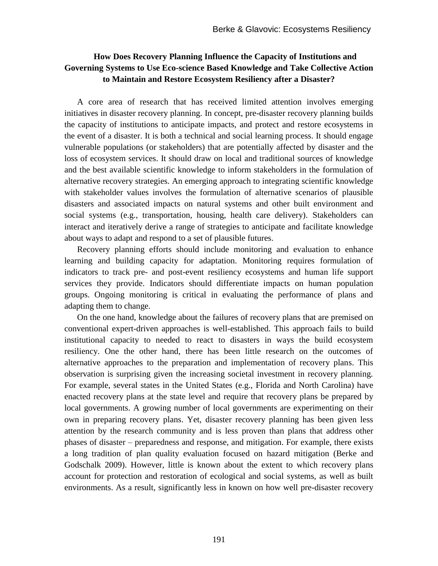## **How Does Recovery Planning Influence the Capacity of Institutions and Governing Systems to Use Eco-science Based Knowledge and Take Collective Action to Maintain and Restore Ecosystem Resiliency after a Disaster?**

A core area of research that has received limited attention involves emerging initiatives in disaster recovery planning. In concept, pre-disaster recovery planning builds the capacity of institutions to anticipate impacts, and protect and restore ecosystems in the event of a disaster. It is both a technical and social learning process. It should engage vulnerable populations (or stakeholders) that are potentially affected by disaster and the loss of ecosystem services. It should draw on local and traditional sources of knowledge and the best available scientific knowledge to inform stakeholders in the formulation of alternative recovery strategies. An emerging approach to integrating scientific knowledge with stakeholder values involves the formulation of alternative scenarios of plausible disasters and associated impacts on natural systems and other built environment and social systems (e.g., transportation, housing, health care delivery). Stakeholders can interact and iteratively derive a range of strategies to anticipate and facilitate knowledge about ways to adapt and respond to a set of plausible futures.

Recovery planning efforts should include monitoring and evaluation to enhance learning and building capacity for adaptation. Monitoring requires formulation of indicators to track pre- and post-event resiliency ecosystems and human life support services they provide. Indicators should differentiate impacts on human population groups. Ongoing monitoring is critical in evaluating the performance of plans and adapting them to change.

On the one hand, knowledge about the failures of recovery plans that are premised on conventional expert-driven approaches is well-established. This approach fails to build institutional capacity to needed to react to disasters in ways the build ecosystem resiliency. One the other hand, there has been little research on the outcomes of alternative approaches to the preparation and implementation of recovery plans. This observation is surprising given the increasing societal investment in recovery planning. For example, several states in the United States (e.g., Florida and North Carolina) have enacted recovery plans at the state level and require that recovery plans be prepared by local governments. A growing number of local governments are experimenting on their own in preparing recovery plans. Yet, disaster recovery planning has been given less attention by the research community and is less proven than plans that address other phases of disaster – preparedness and response, and mitigation. For example, there exists a long tradition of plan quality evaluation focused on hazard mitigation (Berke and Godschalk 2009). However, little is known about the extent to which recovery plans account for protection and restoration of ecological and social systems, as well as built environments. As a result, significantly less in known on how well pre-disaster recovery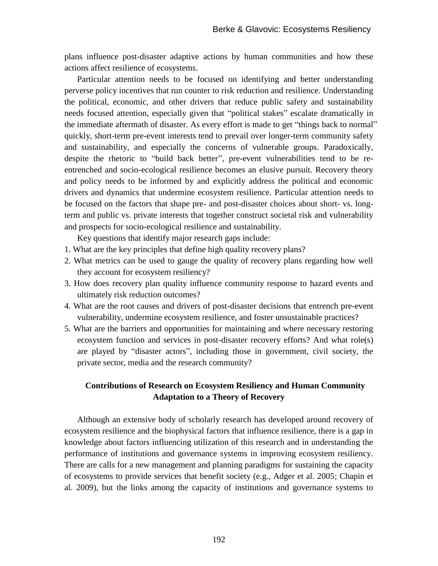plans influence post-disaster adaptive actions by human communities and how these actions affect resilience of ecosystems.

Particular attention needs to be focused on identifying and better understanding perverse policy incentives that run counter to risk reduction and resilience. Understanding the political, economic, and other drivers that reduce public safety and sustainability needs focused attention, especially given that "political stakes" escalate dramatically in the immediate aftermath of disaster. As every effort is made to get "things back to normal" quickly, short-term pre-event interests tend to prevail over longer-term community safety and sustainability, and especially the concerns of vulnerable groups. Paradoxically, despite the rhetoric to "build back better", pre-event vulnerabilities tend to be reentrenched and socio-ecological resilience becomes an elusive pursuit. Recovery theory and policy needs to be informed by and explicitly address the political and economic drivers and dynamics that undermine ecosystem resilience. Particular attention needs to be focused on the factors that shape pre- and post-disaster choices about short- vs. longterm and public vs. private interests that together construct societal risk and vulnerability and prospects for socio-ecological resilience and sustainability.

Key questions that identify major research gaps include:

- 1. What are the key principles that define high quality recovery plans?
- 2. What metrics can be used to gauge the quality of recovery plans regarding how well they account for ecosystem resiliency?
- 3. How does recovery plan quality influence community response to hazard events and ultimately risk reduction outcomes?
- 4. What are the root causes and drivers of post-disaster decisions that entrench pre-event vulnerability, undermine ecosystem resilience, and foster unsustainable practices?
- 5. What are the barriers and opportunities for maintaining and where necessary restoring ecosystem function and services in post-disaster recovery efforts? And what role(s) are played by "disaster actors", including those in government, civil society, the private sector, media and the research community?

### **Contributions of Research on Ecosystem Resiliency and Human Community Adaptation to a Theory of Recovery**

Although an extensive body of scholarly research has developed around recovery of ecosystem resilience and the biophysical factors that influence resilience, there is a gap in knowledge about factors influencing utilization of this research and in understanding the performance of institutions and governance systems in improving ecosystem resiliency. There are calls for a new management and planning paradigms for sustaining the capacity of ecosystems to provide services that benefit society (e.g., Adger et al. 2005; Chapin et al. 2009), but the links among the capacity of institutions and governance systems to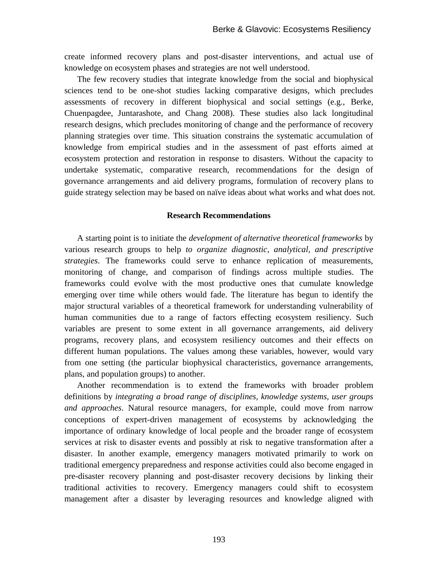create informed recovery plans and post-disaster interventions, and actual use of knowledge on ecosystem phases and strategies are not well understood.

The few recovery studies that integrate knowledge from the social and biophysical sciences tend to be one-shot studies lacking comparative designs, which precludes assessments of recovery in different biophysical and social settings (e.g., Berke, Chuenpagdee, Juntarashote, and Chang 2008). These studies also lack longitudinal research designs, which precludes monitoring of change and the performance of recovery planning strategies over time. This situation constrains the systematic accumulation of knowledge from empirical studies and in the assessment of past efforts aimed at ecosystem protection and restoration in response to disasters. Without the capacity to undertake systematic, comparative research, recommendations for the design of governance arrangements and aid delivery programs, formulation of recovery plans to guide strategy selection may be based on naïve ideas about what works and what does not.

#### **Research Recommendations**

A starting point is to initiate the *development of alternative theoretical frameworks* by various research groups to help *to organize diagnostic, analytical, and prescriptive strategies*. The frameworks could serve to enhance replication of measurements, monitoring of change, and comparison of findings across multiple studies. The frameworks could evolve with the most productive ones that cumulate knowledge emerging over time while others would fade. The literature has begun to identify the major structural variables of a theoretical framework for understanding vulnerability of human communities due to a range of factors effecting ecosystem resiliency. Such variables are present to some extent in all governance arrangements, aid delivery programs, recovery plans, and ecosystem resiliency outcomes and their effects on different human populations. The values among these variables, however, would vary from one setting (the particular biophysical characteristics, governance arrangements, plans, and population groups) to another.

Another recommendation is to extend the frameworks with broader problem definitions by *integrating a broad range of disciplines, knowledge systems, user groups and approaches*. Natural resource managers, for example, could move from narrow conceptions of expert-driven management of ecosystems by acknowledging the importance of ordinary knowledge of local people and the broader range of ecosystem services at risk to disaster events and possibly at risk to negative transformation after a disaster. In another example, emergency managers motivated primarily to work on traditional emergency preparedness and response activities could also become engaged in pre-disaster recovery planning and post-disaster recovery decisions by linking their traditional activities to recovery. Emergency managers could shift to ecosystem management after a disaster by leveraging resources and knowledge aligned with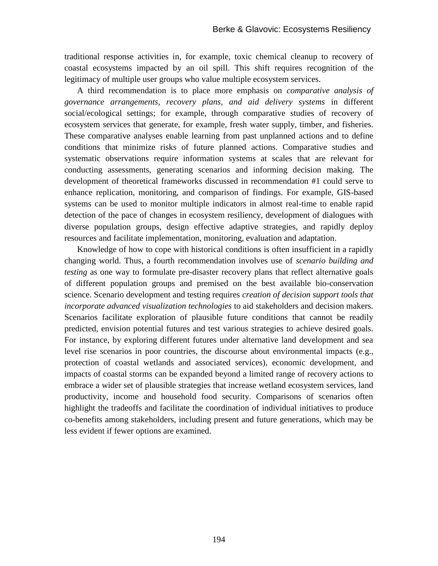traditional response activities in, for example, toxic chemical cleanup to recovery of coastal ecosystems impacted by an oil spill. This shift requires recognition of the legitimacy of multiple user groups who value multiple ecosystem services.

A third recommendation is to place more emphasis on *comparative analysis of governance arrangements, recovery plans, and aid delivery systems* in different social/ecological settings; for example, through comparative studies of recovery of ecosystem services that generate, for example, fresh water supply, timber, and fisheries. These comparative analyses enable learning from past unplanned actions and to define conditions that minimize risks of future planned actions. Comparative studies and systematic observations require information systems at scales that are relevant for conducting assessments, generating scenarios and informing decision making. The development of theoretical frameworks discussed in recommendation #1 could serve to enhance replication, monitoring, and comparison of findings. For example, GIS-based systems can be used to monitor multiple indicators in almost real-time to enable rapid detection of the pace of changes in ecosystem resiliency, development of dialogues with diverse population groups, design effective adaptive strategies, and rapidly deploy resources and facilitate implementation, monitoring, evaluation and adaptation.

Knowledge of how to cope with historical conditions is often insufficient in a rapidly changing world. Thus, a fourth recommendation involves use of *scenario building and testing* as one way to formulate pre-disaster recovery plans that reflect alternative goals of different population groups and premised on the best available bio-conservation science. Scenario development and testing requires *creation of decision support tools that incorporate advanced visualization technologies* to aid stakeholders and decision makers. Scenarios facilitate exploration of plausible future conditions that cannot be readily predicted, envision potential futures and test various strategies to achieve desired goals. For instance, by exploring different futures under alternative land development and sea level rise scenarios in poor countries, the discourse about environmental impacts (e.g., protection of coastal wetlands and associated services), economic development, and impacts of coastal storms can be expanded beyond a limited range of recovery actions to embrace a wider set of plausible strategies that increase wetland ecosystem services, land productivity, income and household food security. Comparisons of scenarios often highlight the tradeoffs and facilitate the coordination of individual initiatives to produce co-benefits among stakeholders, including present and future generations, which may be less evident if fewer options are examined.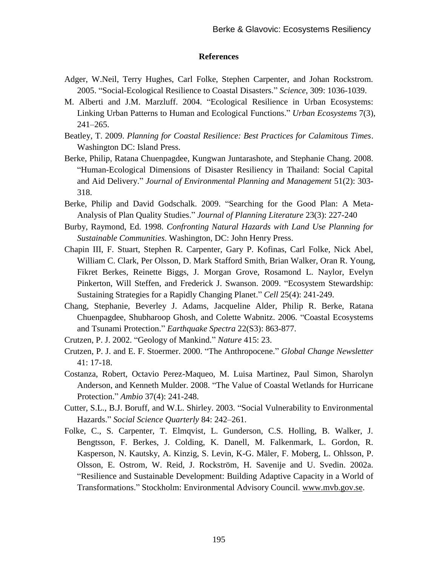#### **References**

- Adger, W.Neil, Terry Hughes, Carl Folke, Stephen Carpenter, and Johan Rockstrom. 2005. "Social-Ecological Resilience to Coastal Disasters." *Science*, 309: 1036-1039.
- M. Alberti and J.M. Marzluff. 2004. "Ecological Resilience in Urban Ecosystems: Linking Urban Patterns to Human and Ecological Functions." *Urban Ecosystems* 7(3), 241–265.
- Beatley, T. 2009. *Planning for Coastal Resilience: Best Practices for Calamitous Times*. Washington DC: Island Press.
- Berke, Philip, Ratana Chuenpagdee, Kungwan Juntarashote, and Stephanie Chang. 2008. "Human-Ecological Dimensions of Disaster Resiliency in Thailand: Social Capital and Aid Delivery." *Journal of Environmental Planning and Management* 51(2): 303- 318.
- Berke, Philip and David Godschalk. 2009. "Searching for the Good Plan: A Meta-Analysis of Plan Quality Studies." *Journal of Planning Literature* 23(3): 227-240
- Burby, Raymond, Ed. 1998. *Confronting Natural Hazards with Land Use Planning for Sustainable Communities*. Washington, DC: John Henry Press.
- Chapin III, F. Stuart, Stephen R. Carpenter, Gary P. Kofinas, Carl Folke, Nick Abel, William C. Clark, Per Olsson, D. Mark Stafford Smith, Brian Walker, Oran R. Young, Fikret Berkes, Reinette Biggs, J. Morgan Grove, Rosamond L. Naylor, Evelyn Pinkerton, Will Steffen, and Frederick J. Swanson. 2009. "Ecosystem Stewardship: Sustaining Strategies for a Rapidly Changing Planet." *Cell* 25(4): 241-249.
- Chang, Stephanie, Beverley J. Adams, Jacqueline Alder, Philip R. Berke, Ratana Chuenpagdee, Shubharoop Ghosh, and Colette Wabnitz. 2006. "Coastal Ecosystems and Tsunami Protection." *Earthquake Spectra* 22(S3): 863-877.
- Crutzen, P. J. 2002. "Geology of Mankind." *Nature* 415: 23.
- Crutzen, P. J. and E. F. Stoermer. 2000. "The Anthropocene." *Global Change Newsletter* 41: 17-18.
- Costanza, Robert, Octavio Perez-Maqueo, M. Luisa Martinez, Paul Simon, Sharolyn Anderson, and Kenneth Mulder. 2008. "The Value of Coastal Wetlands for Hurricane Protection." *Ambio* 37(4): 241-248.
- Cutter, S.L., B.J. Boruff, and W.L. Shirley. 2003. "Social Vulnerability to Environmental Hazards." *Social Science Quarterly* 84: 242–261.
- Folke, C., S. Carpenter, T. Elmqvist, L. Gunderson, C.S. Holling, B. Walker, J. Bengtsson, F. Berkes, J. Colding, K. Danell, M. Falkenmark, L. Gordon, R. Kasperson, N. Kautsky, A. Kinzig, S. Levin, K-G. Mäler, F. Moberg, L. Ohlsson, P. Olsson, E. Ostrom, W. Reid, J. Rockström, H. Savenije and U. Svedin. 2002a. "Resilience and Sustainable Development: Building Adaptive Capacity in a World of Transformations." Stockholm: Environmental Advisory Council. [www.mvb.gov.se.](http://www.mvb.gov.se/)